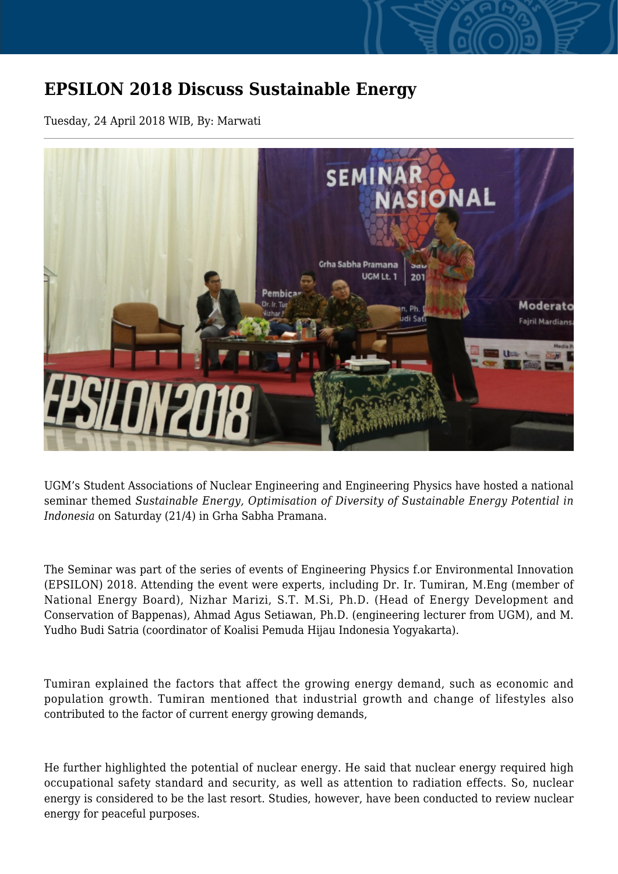## **EPSILON 2018 Discuss Sustainable Energy**

Tuesday, 24 April 2018 WIB, By: Marwati



UGM's Student Associations of Nuclear Engineering and Engineering Physics have hosted a national seminar themed *Sustainable Energy, Optimisation of Diversity of Sustainable Energy Potential in Indonesia* on Saturday (21/4) in Grha Sabha Pramana.

The Seminar was part of the series of events of Engineering Physics f.or Environmental Innovation (EPSILON) 2018. Attending the event were experts, including Dr. Ir. Tumiran, M.Eng (member of National Energy Board), Nizhar Marizi, S.T. M.Si, Ph.D. (Head of Energy Development and Conservation of Bappenas), Ahmad Agus Setiawan, Ph.D. (engineering lecturer from UGM), and M. Yudho Budi Satria (coordinator of Koalisi Pemuda Hijau Indonesia Yogyakarta).

Tumiran explained the factors that affect the growing energy demand, such as economic and population growth. Tumiran mentioned that industrial growth and change of lifestyles also contributed to the factor of current energy growing demands,

He further highlighted the potential of nuclear energy. He said that nuclear energy required high occupational safety standard and security, as well as attention to radiation effects. So, nuclear energy is considered to be the last resort. Studies, however, have been conducted to review nuclear energy for peaceful purposes.